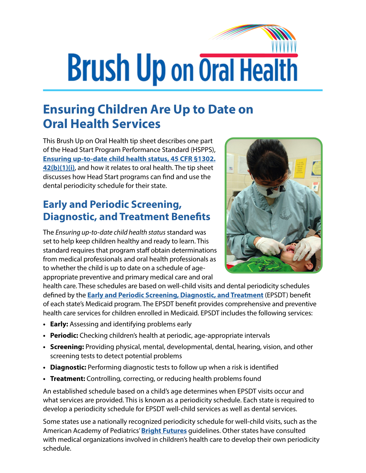## **Brush Up on Oral Health**

## **Ensuring Children Are Up to Date on Oral Health Services**

This Brush Up on Oral Health tip sheet describes one part of the Head Start Program Performance Standard (HSPPS), **[Ensuring up-to-date child health status, 45 CFR §1302.](https://eclkc.ohs.acf.hhs.gov/policy/45-cfr-chap-xiii/1302-42-child-health-status-care) [42\(b\)\(1\)\(i\)](https://eclkc.ohs.acf.hhs.gov/policy/45-cfr-chap-xiii/1302-42-child-health-status-care)**, and how it relates to oral health. The tip sheet discusses how Head Start programs can find and use the dental periodicity schedule for their state.

## **Early and Periodic Screening, Diagnostic, and Treatment Benefits**

The *Ensuring up-to-date child health status* standard was set to help keep children healthy and ready to learn. This standard requires that program staff obtain determinations from medical professionals and oral health professionals as to whether the child is up to date on a schedule of ageappropriate preventive and primary medical care and oral



health care. These schedules are based on well-child visits and dental periodicity schedules defined by the **[Early and Periodic Screening, Diagnostic, and Treatment](https://www.medicaid.gov/medicaid/benefits/epsdt/index.html)** (EPSDT) benefit of each state's Medicaid program. The EPSDT benefit provides comprehensive and preventive health care services for children enrolled in Medicaid. EPSDT includes the following services:

- **• Early:** Assessing and identifying problems early
- **• Periodic:** Checking children's health at periodic, age-appropriate intervals
- **• Screening:** Providing physical, mental, developmental, dental, hearing, vision, and other screening tests to detect potential problems
- **• Diagnostic:** Performing diagnostic tests to follow up when a risk is identified
- **• Treatment:** Controlling, correcting, or reducing health problems found

An established schedule based on a child's age determines when EPSDT visits occur and what services are provided. This is known as a periodicity schedule. Each state is required to develop a periodicity schedule for EPSDT well-child services as well as dental services.

Some states use a nationally recognized periodicity schedule for well-child visits, such as the American Academy of Pediatrics' **[Bright Futures](https://brightfutures.aap.org/Pages/default.aspx)** guidelines. Other states have consulted with medical organizations involved in children's health care to develop their own periodicity schedule.